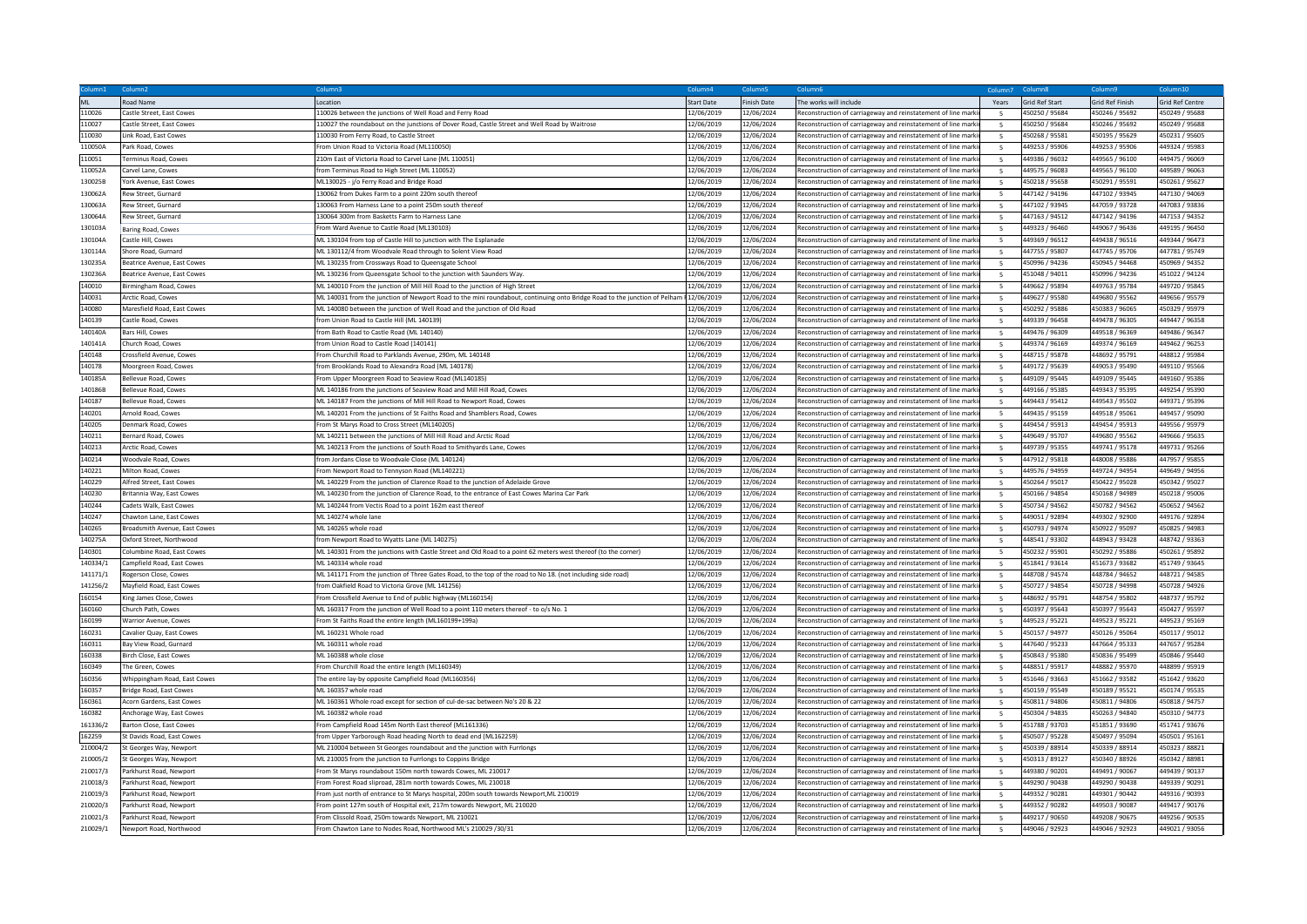|          |                                |                                                                                                                                       | Column4           | Column      | Colum                                                         | Column <sub>7</sub>      | Column8               | Column9         | Column10               |
|----------|--------------------------------|---------------------------------------------------------------------------------------------------------------------------------------|-------------------|-------------|---------------------------------------------------------------|--------------------------|-----------------------|-----------------|------------------------|
|          | <b>Road Name</b>               | Location                                                                                                                              | <b>Start Date</b> | Finish Date | The works will include                                        | Years                    | <b>Grid Ref Start</b> | Grid Ref Finish | <b>Grid Ref Centre</b> |
| 110026   | Castle Street, East Cowes      | 110026 between the junctions of Well Road and Ferry Road                                                                              | 12/06/2019        | 12/06/2024  | Reconstruction of carriageway and reinstatement of line marki |                          | 450250 / 95684        | 450246 / 95692  | 450249 / 95688         |
| 110027   | Castle Street, East Cowes      | 110027 the roundabout on the junctions of Dover Road, Castle Street and Well Road by Waitrose                                         | 12/06/2019        | 12/06/2024  | Reconstruction of carriageway and reinstatement of line marki | 5                        | 450250 / 95684        | 450246 / 95692  | 450249 / 95688         |
| 110030   | Link Road, East Cowes          | 110030 From Ferry Road, to Castle Street                                                                                              | 12/06/2019        | 12/06/2024  | Reconstruction of carriageway and reinstatement of line mark  | $\overline{5}$           | 450268 / 95581        | 450195 / 95629  | 450231 / 95605         |
| 110050A  | Park Road, Cowes               | From Union Road to Victoria Road (ML110050)                                                                                           | 12/06/2019        | 12/06/2024  | Reconstruction of carriageway and reinstatement of line mark  |                          | 449253 / 95906        | 449253 / 95906  | 449324 / 95983         |
| 110051   | Terminus Road, Cowes           | 210m East of Victoria Road to Carvel Lane (ML 110051)                                                                                 | 12/06/2019        | 12/06/2024  | Reconstruction of carriageway and reinstatement of line marki | -5                       | 449386 / 96032        | 449565 / 96100  | 449475 / 96069         |
| 1100524  | Carvel Lane, Cowes             | from Terminus Road to High Street (ML 110052)                                                                                         | 12/06/2019        | 12/06/2024  | Reconstruction of carriageway and reinstatement of line mark  |                          | 449575 / 96083        | 449565 / 96100  | 449589 / 96063         |
| 130025B  | York Avenue, East Cowes        | ML130025 - j/o Ferry Road and Bridge Road                                                                                             | 12/06/2019        | 12/06/2024  | Reconstruction of carriageway and reinstatement of line marki |                          | 450218 / 95658        | 450291 / 95591  | 450261 / 95627         |
| 130062A  | Rew Street, Gurnard            | 130062 from Dukes Farm to a point 220m south thereof                                                                                  | 12/06/2019        | 12/06/2024  | Reconstruction of carriageway and reinstatement of line mark  | -5                       | 447142 / 94196        | 447102 / 93945  | 447130 / 94069         |
| 130063A  | Rew Street, Gurnard            | 130063 From Harness Lane to a point 250m south thereof                                                                                | 12/06/2019        | 12/06/2024  | Reconstruction of carriageway and reinstatement of line mark  | -5                       | 447102 / 93945        | 447059 / 93728  | 447083 / 93836         |
| 130064A  | Rew Street, Gurnard            | 130064 300m from Basketts Farm to Harness Lane                                                                                        | 12/06/2019        | 12/06/2024  | Reconstruction of carriageway and reinstatement of line mark  |                          | 447163 / 94512        | 447142 / 94196  | 447153 / 94352         |
| 130103A  | Baring Road, Cowes             | From Ward Avenue to Castle Road (ML130103                                                                                             | 12/06/2019        | 12/06/2024  | Reconstruction of carriageway and reinstatement of line marki | -5                       | 449323 / 96460        | 449067 / 96436  | 449195 / 96450         |
| 130104A  | Castle Hill, Cowes             | ML 130104 from top of Castle Hill to junction with The Esplanade                                                                      | 12/06/2019        | 12/06/2024  | Reconstruction of carriageway and reinstatement of line marki |                          | 449369 / 96512        | 449438 / 96516  | 449344 / 96473         |
| 130114A  | Shore Road, Gurnard            | ML 130112/4 from Woodvale Road through to Solent View Road                                                                            | 12/06/2019        | 12/06/2024  | Reconstruction of carriageway and reinstatement of line marki |                          | 447755 / 95807        | 447745 / 95706  | 447781 / 95749         |
| 130235A  | Beatrice Avenue, East Cowes    | ML 130235 from Crossways Road to Queensgate Schoo                                                                                     | 12/06/2019        | 12/06/2024  | Reconstruction of carriageway and reinstatement of line mark  |                          | 450996 / 94236        | 450945 / 94468  | 450969 / 94352         |
| 130236A  | Beatrice Avenue, East Cowes    | ML 130236 from Queensgate School to the junction with Saunders Way                                                                    | 12/06/2019        | 12/06/2024  | Reconstruction of carriageway and reinstatement of line marki | 5                        | 451048 / 94011        | 450996 / 94236  | 451022 / 94124         |
| 140010   | Birmingham Road, Cowes         | ML 140010 From the junction of Mill Hill Road to the junction of High Street                                                          | 12/06/2019        | 12/06/2024  | Reconstruction of carriageway and reinstatement of line marki | 5 <sup>5</sup>           | 449662 / 95894        | 449763 / 95784  | 449720 / 95845         |
| 140031   | Arctic Road, Cowes             | ML 140031 from the junction of Newport Road to the mini roundabout, continuing onto Bridge Road to the junction of Pelham #12/06/2019 |                   | 12/06/2024  | Reconstruction of carriageway and reinstatement of line mark  |                          | 449627 / 95580        | 449680 / 95562  | 449656 / 95579         |
| 140080   | Maresfield Road, East Cowes    | ML 140080 between the junction of Well Road and the junction of Old Road                                                              | 12/06/2019        | 12/06/2024  | Reconstruction of carriageway and reinstatement of line mark  |                          | 450292 / 95886        | 450383 / 96065  | 450329 / 95979         |
| 140139   | Castle Road, Cowes             | from Union Road to Castle Hill (ML 140139)                                                                                            | 12/06/2019        | 12/06/2024  | Reconstruction of carriageway and reinstatement of line marki | 5 <sup>5</sup>           | 449339 / 96458        | 449478 / 96305  | 449447 / 96358         |
| 140140A  | Bars Hill, Cowes               | from Bath Road to Castle Road (ML 140140                                                                                              | 12/06/2019        | 12/06/2024  | Reconstruction of carriageway and reinstatement of line marki | 5                        | 449476 / 96309        | 449518 / 96369  | 449486 / 96347         |
| 140141A  | Church Road, Cowes             | from Union Road to Castle Road (140141)                                                                                               | 12/06/2019        | 2/06/2024   | Reconstruction of carriageway and reinstatement of line mark  | -5                       | 449374 / 96169        | 449374 / 96169  | 449462 / 96253         |
| 140148   | Crossfield Avenue, Cowes       | From Churchill Road to Parklands Avenue, 290m, ML 140148                                                                              | 12/06/2019        | 12/06/2024  | Reconstruction of carriageway and reinstatement of line mark  | 5                        | 448715 / 95878        | 448692 / 95791  | 448812 / 95984         |
| 140178   | Moorgreen Road, Cowes          | from Brooklands Road to Alexandra Road (ML 140178)                                                                                    | 12/06/2019        | 12/06/2024  | Reconstruction of carriageway and reinstatement of line mark  |                          | 449172 / 95639        | 449053 / 95490  | 449110 / 95566         |
| 1401854  | Bellevue Road, Cowes           | From Upper Moorgreen Road to Seaview Road (ML140185)                                                                                  | 12/06/2019        | 12/06/2024  | Reconstruction of carriageway and reinstatement of line mark  |                          | 449109 / 95445        | 449109 / 95445  | 449160 / 9538          |
| 1401868  | Bellevue Road, Cowes           | ML 140186 from the junctions of Seaview Road and Mill Hill Road, Cowes                                                                | 12/06/2019        | 12/06/2024  | Reconstruction of carriageway and reinstatement of line mark  | -5                       | 449166 / 95385        | 449343 / 95395  | 449254 / 95390         |
| 140187   | Bellevue Road, Cowes           | ML 140187 From the junctions of Mill Hill Road to Newport Road, Cowes                                                                 | 12/06/2019        | 12/06/2024  | Reconstruction of carriageway and reinstatement of line mark  |                          | 449443 / 95412        | 449543 / 95502  | 449371 / 95396         |
| 140201   | Arnold Road, Cowes             | ML 140201 From the junctions of St Faiths Road and Shamblers Road, Cowes                                                              | 12/06/2019        | 12/06/2024  | teconstruction of carriageway and reinstatement of line marki |                          | 449435 / 95159        | 449518 / 95061  | 449457 / 95090         |
| 140205   | Denmark Road, Cowes            | From St Marys Road to Cross Street (ML140205)                                                                                         | 12/06/2019        | 12/06/2024  | Reconstruction of carriageway and reinstatement of line marki | -5                       | 449454 / 95913        | 449454 / 95913  | 449556 / 95979         |
| 140211   | Bernard Road, Cowes            | ML 140211 between the junctions of Mill Hill Road and Arctic Road                                                                     | 12/06/2019        | 12/06/2024  | Reconstruction of carriageway and reinstatement of line mark  | 5                        | 449649 / 95707        | 449680 / 95562  | 449666 / 95635         |
| 140213   | Arctic Road, Cowes             | ML 140213 From the junctions of South Road to Smithyards Lane, Cowes                                                                  | 12/06/2019        | 12/06/2024  | Reconstruction of carriageway and reinstatement of line marki |                          | 449739 / 95355        | 449741 / 95178  | 449731 / 95266         |
| 140214   | Woodvale Road, Cowes           | from Jordans Close to Woodvale Close (ML 140124)                                                                                      | 12/06/2019        | 12/06/2024  | Reconstruction of carriageway and reinstatement of line mark  | -5                       | 447912 / 95818        | 448008 / 95886  | 447957 / 95855         |
| 140221   | Milton Road, Cowes             | From Newport Road to Tennyson Road (ML140221)                                                                                         | 12/06/2019        | 12/06/2024  | Reconstruction of carriageway and reinstatement of line marki | -5                       | 449576 / 94959        | 449724 / 94954  | 449649 / 94956         |
| 140229   | Alfred Street. East Cowes      | ML 140229 From the junction of Clarence Road to the junction of Adelaide Grove                                                        | 12/06/2019        | 12/06/2024  | Reconstruction of carriageway and reinstatement of line mark  |                          | 450264 / 95017        | 450422 / 95028  | 450342 / 95027         |
| 140230   | Britannia Way, East Cowes      | ML 140230 from the junction of Clarence Road, to the entrance of East Cowes Marina Car Park                                           | 12/06/2019        | 12/06/2024  | Reconstruction of carriageway and reinstatement of line mark  |                          | 450166 / 94854        | 450168 / 94989  | 450218 / 95006         |
| 140244   | Cadets Walk, East Cowes        | ML 140244 from Vectis Road to a point 162m east thereof                                                                               | 12/06/2019        | 12/06/2024  | Reconstruction of carriageway and reinstatement of line marki | 5                        | 450734 / 94562        | 450782 / 94562  | 450652 / 94562         |
| 140247   | Chawton Lane, East Cowes       | ML 140274 whole lane                                                                                                                  | 12/06/2019        | 12/06/2024  | Reconstruction of carriageway and reinstatement of line marki | $\overline{\phantom{a}}$ | 449051 / 92894        | 449302 / 92900  | 449176 / 92894         |
| 140265   | Broadsmith Avenue, East Cowes  | ML 140265 whole road                                                                                                                  | 12/06/2019        | 12/06/2024  | Reconstruction of carriageway and reinstatement of line mark  |                          | 450793 / 94974        | 450922 / 95097  | 450825 / 94983         |
| 140275A  | Oxford Street, Northwood       | from Newport Road to Wyatts Lane (ML 140275)                                                                                          | 12/06/2019        | 12/06/2024  | Reconstruction of carriageway and reinstatement of line marki |                          | 448541 / 93302        | 448943 / 93428  | 448742 / 93363         |
| 140301   | Columbine Road, East Cowes     | ML 140301 From the junctions with Castle Street and Old Road to a point 62 meters west thereof (to the corner)                        | 12/06/2019        | 12/06/2024  | Reconstruction of carriageway and reinstatement of line mark  | $\overline{\phantom{a}}$ | 450232 / 95901        | 450292 / 95886  | 450261 / 95892         |
| 140334/1 | Campfield Road, East Cowes     | ML 140334 whole road                                                                                                                  | 12/06/2019        | 12/06/2024  | Reconstruction of carriageway and reinstatement of line mark  |                          | 451841 / 93614        | 451673 / 93682  | 451749 / 93645         |
| 141171/1 | Rogerson Close, Cowes          | ML 141171 From the junction of Three Gates Road, to the top of the road to No 18. (not including side road)                           | 12/06/2019        | 12/06/2024  | Reconstruction of carriageway and reinstatement of line mark  | -5                       | 448708 / 94574        | 448784 / 94652  | 448721 / 94585         |
| 141256/2 | Mayfield Road, East Cowes      | from Oakfield Road to Victoria Grove (ML 141256)                                                                                      | 12/06/2019        | 12/06/2024  | Reconstruction of carriageway and reinstatement of line marki | 5                        | 450727 / 94854        | 450728 / 94998  | 450728 / 94926         |
| 160154   | King James Close, Cowes        | From Crossfield Avenue to End of public highway (ML160154)                                                                            | 12/06/2019        | 12/06/2024  | Reconstruction of carriageway and reinstatement of line mark  |                          | 448692 / 95791        | 448754 / 95802  | 448737 / 95792         |
| 160160   | Church Path, Cowes             | ML 160317 From the junction of Well Road to a point 110 meters thereof - to o/s No. 1                                                 | 12/06/2019        | 12/06/2024  | Reconstruction of carriageway and reinstatement of line mark  |                          | 450397 / 95643        | 450397 / 95643  | 450427 / 95597         |
| 160199   | Warrior Avenue, Cowes          | From St Faiths Road the entire length (ML160199+199a)                                                                                 | 12/06/2019        | 12/06/2024  | Reconstruction of carriageway and reinstatement of line marki |                          | 449523 / 95221        | 449523 / 95221  | 449523 / 95169         |
| 160231   | Cavalier Quay, East Cowes      | ML 160231 Whole road                                                                                                                  | 12/06/2019        | 12/06/2024  | Reconstruction of carriageway and reinstatement of line mark  |                          | 450157 / 94977        | 450126 / 95064  | 450117 / 95012         |
| 160311   | Bay View Road, Gurnard         | ML 160311 whole road                                                                                                                  | 12/06/2019        | 12/06/2024  | Reconstruction of carriageway and reinstatement of line marki | -5                       | 447640 / 95233        | 447664 / 95333  | 447657 / 95284         |
| 160338   | Birch Close, East Cowes        | MI 160388 whole close                                                                                                                 | 12/06/2019        | 12/06/2024  | Reconstruction of carriageway and reinstatement of line marki | -5                       | 450843 / 95380        | 450836 / 95499  | 450846 / 95440         |
| 160349   | The Green, Cowes               | From Churchill Road the entire length (ML160349)                                                                                      | 12/06/2019        | 12/06/2024  | Reconstruction of carriageway and reinstatement of line mark  | 5                        | 448851 / 95917        | 448882 / 95970  | 448899 / 95919         |
| 160356   | Whippingham Road, East Cowes   | The entire lay-by opposite Campfield Road (ML160356)                                                                                  | 12/06/2019        | 12/06/2024  | Reconstruction of carriageway and reinstatement of line marki |                          | 451646 / 93663        | 451662 / 93582  | 451642 / 93620         |
| 160357   | <b>Bridge Road, East Cowes</b> | ML 160357 whole road                                                                                                                  | 12/06/2019        | 12/06/2024  | Reconstruction of carriageway and reinstatement of line marki | -5                       | 450159 / 95549        | 450189 / 95521  | 450174 / 95535         |
| 160361   | Acorn Gardens, East Cowes      | ML 160361 Whole road except for section of cul-de-sac between No's 20 & 22                                                            | 12/06/2019        | 12/06/2024  | Reconstruction of carriageway and reinstatement of line marki | -5                       | 450811 / 94806        | 450811 / 94806  | 450818 / 94757         |
| 160382   | Anchorage Way, East Cowes      | ML 160382 whole road                                                                                                                  | 12/06/2019        | 12/06/2024  | Reconstruction of carriageway and reinstatement of line mark  |                          | 450304 / 94835        | 450263 / 94840  | 450310 / 94773         |
| 161336/2 | Barton Close, East Cowes       | rom Campfield Road 145m North East thereof (ML161336)                                                                                 | 12/06/2019        | 12/06/2024  | Reconstruction of carriageway and reinstatement of line mark  | 5                        | 451788 / 93703        | 451851 / 93690  | 451741 / 93676         |
| 162259   | St Davids Road, East Cowes     | from Upper Yarborough Road heading North to dead end (ML162259)                                                                       | 12/06/2019        | 12/06/2024  | Reconstruction of carriageway and reinstatement of line marki | - 5                      | 450507 / 95228        | 450497 / 95094  | 450501 / 95161         |
| 210004/2 | St Georges Way, Newport        | ML 210004 between St Georges roundabout and the junction with Furrlongs                                                               | 12/06/2019        | 12/06/2024  | Reconstruction of carriageway and reinstatement of line marki | $\overline{\phantom{a}}$ | 450339 / 88914        | 450339 / 88914  | 450323 / 88821         |
| 210005/2 | t Georges Way, Newport         | ML 210005 from the junction to Furrlongs to Coppins Bridge                                                                            | 12/06/2019        | 12/06/2024  | Reconstruction of carriageway and reinstatement of line mark  |                          | 450313 / 89127        | 450340 / 88926  | 450342 / 88981         |
| 210017/3 | Parkhurst Road, Newport        | From St Marys roundabout 150m north towards Cowes, ML 210017                                                                          | 12/06/2019        | 12/06/2024  | Reconstruction of carriageway and reinstatement of line marki |                          | 449380 / 90201        | 449491 / 90067  | 449439 / 90137         |
| 210018/3 | Parkhurst Road, Newport        | From Forest Road sliproad, 281m north towards Cowes, ML 210018                                                                        | 12/06/2019        | 12/06/2024  | Reconstruction of carriageway and reinstatement of line mark  |                          | 449290 / 90438        | 449290 / 90438  | 449339 / 90291         |
| 210019/3 | Parkhurst Road, Newport        | From just north of entrance to St Marys hospital, 200m south towards Newport, ML 210019                                               | 12/06/2019        | 12/06/2024  | Reconstruction of carriageway and reinstatement of line mark  |                          | 449352 / 90281        | 449301 / 90442  | 449316 / 90393         |
| 210020/3 | Parkhurst Road, Newport        | From point 127m south of Hospital exit. 217m towards Newport. ML 210020                                                               | 12/06/2019        | 12/06/2024  | Reconstruction of carriageway and reinstatement of line mark  | -5                       | 449352 / 90282        | 449503 / 90087  | 449417 / 90176         |
| 210021/3 | Parkhurst Road, Newport        | From Clissold Road, 250m towards Newport, ML 210021                                                                                   | 12/06/2019        | 12/06/2024  | Reconstruction of carriageway and reinstatement of line marki | 5                        | 449217 / 90650        | 449208 / 90675  | 449256 / 90535         |
| 210029/1 | Newport Road, Northwood        | From Chawton Lane to Nodes Road, Northwood ML's 210029 /30/31                                                                         | 12/06/2019        | 12/06/2024  | Reconstruction of carriageway and reinstatement of line marki |                          | 449046 / 92923        | 449046 / 92923  | 449021 / 93056         |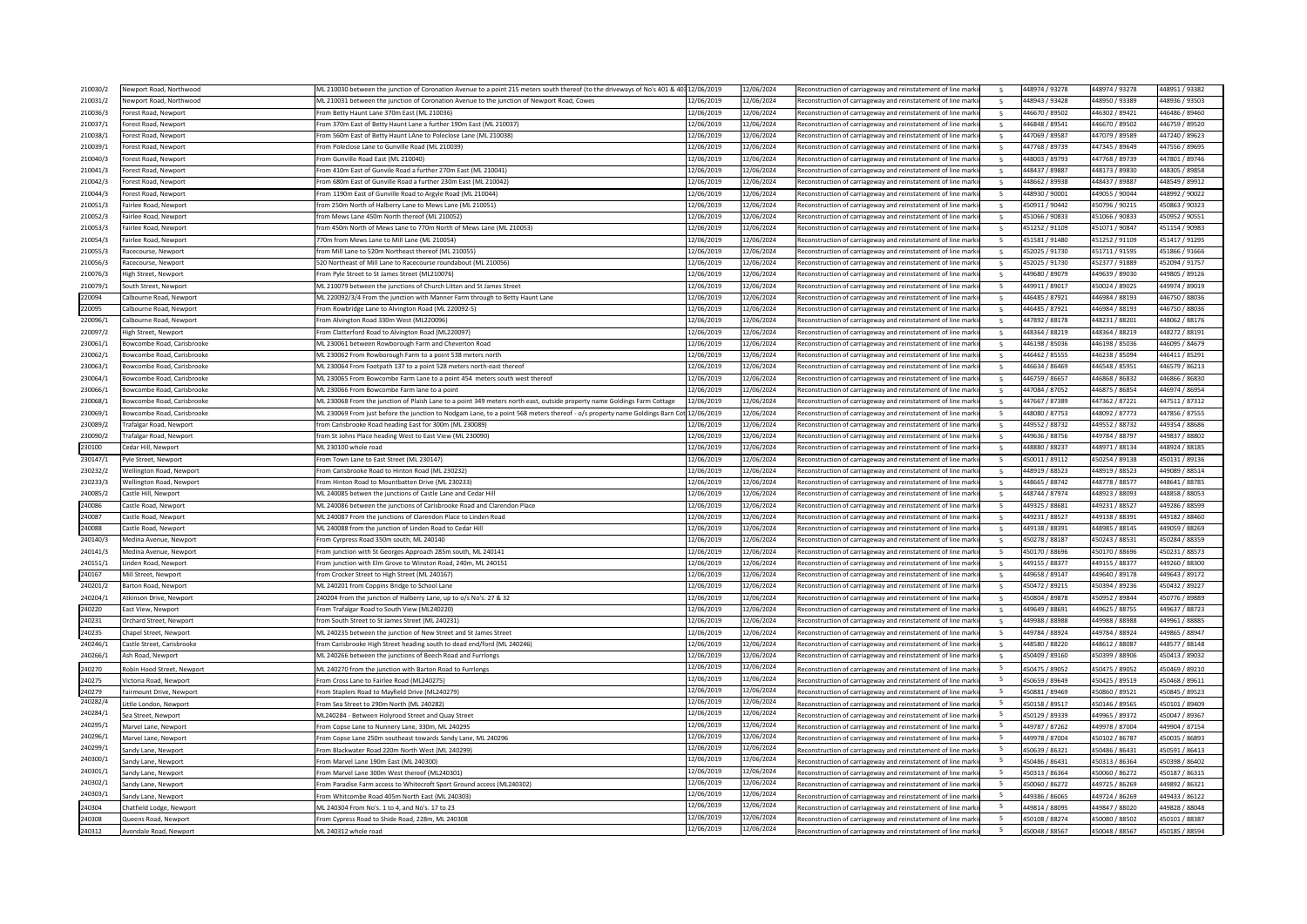| 210030/2        | Newport Road, Northwood                        | ML 210030 between the junction of Coronation Avenue to a point 215 meters south thereof (to the driveways of No's 401 & 40312/06/2019  |            | 12/06/2024 | Reconstruction of carriageway and reinstatement of line marki                                                                  | 448974 / 93278                                                    | 448974 / 93278                   | 448951 / 93382                   |
|-----------------|------------------------------------------------|----------------------------------------------------------------------------------------------------------------------------------------|------------|------------|--------------------------------------------------------------------------------------------------------------------------------|-------------------------------------------------------------------|----------------------------------|----------------------------------|
| 210031/2        | Newport Road, Northwood                        | ML 210031 between the junction of Coronation Avenue to the junction of Newport Road, Cowes                                             | 12/06/2019 | 12/06/2024 | Reconstruction of carriageway and reinstatement of line marki                                                                  | 448943 / 93428                                                    | 448950 / 93389                   | 448936 / 93503                   |
|                 |                                                |                                                                                                                                        | 12/06/2019 | 12/06/2024 |                                                                                                                                |                                                                   | 446302 / 89421                   | 446486 / 89460                   |
| 210036/3        | orest Road, Newport                            | From Betty Haunt Lane 370m East (ML 210036)                                                                                            |            |            | Reconstruction of carriageway and reinstatement of line mark                                                                   | 446670 / 89502                                                    |                                  |                                  |
| 210037/1        | Forest Road, Newport                           | From 370m East of Betty Haunt Lane a further 190m East (ML 210037)                                                                     | 12/06/2019 | 12/06/2024 | Reconstruction of carriageway and reinstatement of line marki                                                                  | 446848 / 89541<br>5                                               | 446670 / 89502                   | 446759 / 89520                   |
| 210038/1        | Forest Road, Newport                           | From 560m East of Betty Haunt LAne to Poleclose Lane (ML 210038)                                                                       | 12/06/2019 | 12/06/2024 | Reconstruction of carriageway and reinstatement of line mark                                                                   | 447069 / 89587<br>5                                               | 447079 / 89589                   | 447240 / 89623                   |
| 210039/1        | Forest Road, Newport                           | From Poleclose Lane to Gunville Road (ML 210039)                                                                                       | 12/06/2019 | 12/06/2024 | Reconstruction of carriageway and reinstatement of line mark                                                                   | 447768 / 89739                                                    | 447345 / 89649                   | 447556 / 89695                   |
| 210040/3        | Forest Road, Newport                           | From Gunville Road East (ML 210040)                                                                                                    | 12/06/2019 | 12/06/2024 | Reconstruction of carriageway and reinstatement of line marki                                                                  | 448003 / 89793                                                    | 447768 / 89739                   | 447801 / 89746                   |
| 210041/3        |                                                | From 410m East of Gunvile Road a further 270m East (ML 210041)                                                                         | 12/06/2019 | 12/06/2024 | Reconstruction of carriageway and reinstatement of line mark                                                                   | 448437 / 89887                                                    | 448173 / 89830                   | 448305 / 89858                   |
|                 | orest Road, Newport                            |                                                                                                                                        |            |            |                                                                                                                                |                                                                   |                                  |                                  |
| 210042/3        | Forest Road, Newport                           | From 680m East of Gunville Road a further 230m East (ML 210042)                                                                        | 12/06/2019 | 12/06/2024 | Reconstruction of carriageway and reinstatement of line mark                                                                   | 448662 / 89938                                                    | 448437 / 89887                   | 448549 / 89912                   |
| 210044/3        | orest Road, Newport                            | From 1190m East of Gunville Road to Argyle Road (ML 210044)                                                                            | 12/06/2019 | 12/06/2024 | Reconstruction of carriageway and reinstatement of line mark                                                                   | 448930 / 90001<br>-5.                                             | 449055 / 90044                   | 448992 / 90022                   |
| 210051/3        | Fairlee Road, Newport                          | from 250m North of Halberry Lane to Mews Lane (ML 210051)                                                                              | 12/06/2019 | 12/06/2024 | Reconstruction of carriageway and reinstatement of line mark                                                                   | 450911 / 90442                                                    | 450796 / 90215                   | 450863 / 90323                   |
| 210052/3        | Fairlee Road, Newport                          | from Mews Lane 450m North thereof (ML 210052)                                                                                          | 12/06/2019 | 12/06/2024 | Reconstruction of carriageway and reinstatement of line mark                                                                   | 451066 / 90833                                                    | 451066 / 90833                   | 450952 / 90551                   |
| 210053/3        | airlee Road, Newport                           | from 450m North of Mews Lane to 770m North of Mews Lane (ML 210053)                                                                    | 12/06/2019 | 12/06/2024 |                                                                                                                                | 451252 / 91109                                                    | 451071 / 90847                   | 451154 / 90983                   |
|                 |                                                |                                                                                                                                        |            |            | Reconstruction of carriageway and reinstatement of line mark                                                                   |                                                                   |                                  |                                  |
| 210054/3        | Fairlee Road, Newport                          | 770m from Mews Lane to Mill Lane (ML 210054)                                                                                           | 12/06/2019 | 12/06/2024 | Reconstruction of carriageway and reinstatement of line marki                                                                  | 451581 / 91480                                                    | 451252 / 91109                   | 451417 / 91295                   |
| 210055/3        | Racecourse, Newport                            | from Mill Lane to 520m Northeast thereof (ML 210055)                                                                                   | 12/06/2019 | 12/06/2024 | Reconstruction of carriageway and reinstatement of line mark                                                                   | 452025 / 91730                                                    | 451711 / 91595                   | 451866 / 91666                   |
| 210056/3        | Racecourse, Newport                            | 520 Northeast of Mill Lane to Racecourse roundabout (ML 210056)                                                                        | 12/06/2019 | 12/06/2024 | Reconstruction of carriageway and reinstatement of line mark                                                                   | 452025 / 91730                                                    | 452377 / 91889                   | 452094 / 91757                   |
| 210076/3        | High Street, Newport                           | From Pyle Street to St James Street (ML210076)                                                                                         | 12/06/2019 | 12/06/2024 | Reconstruction of carriageway and reinstatement of line marki                                                                  | 449680 / 89079<br>-5                                              | 080983 / 089030                  | 449805 / 89126                   |
| 210079/1        |                                                |                                                                                                                                        |            |            |                                                                                                                                | -5                                                                |                                  |                                  |
|                 | South Street, Newport                          | ML 210079 between the junctions of Church Litten and St James Street                                                                   | 12/06/2019 | 12/06/2024 | Reconstruction of carriageway and reinstatement of line mark                                                                   | 449911 / 89017                                                    | 450024 / 89025                   | 449974 / 89019                   |
| 220094          | Calbourne Road, Newport                        | ML 220092/3/4 From the junction with Manner Farm through to Betty Haunt Lane                                                           | 12/06/2019 | 12/06/2024 | Reconstruction of carriageway and reinstatement of line mark                                                                   | 446485 / 87921                                                    | 446984 / 88193                   | 446750 / 88036                   |
| 220095          | Calbourne Road, Newport                        | From Rowbridge Lane to Alvington Road (ML 220092-5)                                                                                    | 12/06/2019 | 12/06/2024 | Reconstruction of carriageway and reinstatement of line mark                                                                   | 446485 / 87921                                                    | 446984 / 88193                   | 446750 / 88036                   |
| 220096/1        | Calbourne Road, Newport                        | From Alvington Road 330m West (ML220096)                                                                                               | 12/06/2019 | 12/06/2024 | Reconstruction of carriageway and reinstatement of line marki                                                                  | 447892 / 88178                                                    | 448231 / 88201                   | 448062 / 88176                   |
| 220097/2        | ligh Street, Newport                           | From Clatterford Road to Alvington Road (ML220097)                                                                                     | 12/06/2019 | 12/06/2024 | Reconstruction of carriageway and reinstatement of line mark                                                                   | 448364 / 88219                                                    | 448364 / 88219                   | 448272 / 88191                   |
| 230061/1        | owcombe Road, Carisbrooke                      | ML 230061 between Rowborough Farm and Cheverton Road                                                                                   | 12/06/2019 | 12/06/2024 | Reconstruction of carriageway and reinstatement of line mark                                                                   | 446198 / 85036<br>$\overline{\phantom{a}}$                        | 446198 / 85036                   | 446095 / 84679                   |
|                 |                                                |                                                                                                                                        |            |            |                                                                                                                                |                                                                   |                                  |                                  |
| 230062/1        | <b>Sowcombe Road, Carisbrooke</b>              | ML 230062 From Rowborough Farm to a point 538 meters north                                                                             | 12/06/2019 | 12/06/2024 | Reconstruction of carriageway and reinstatement of line marki                                                                  | 446462 / 85555<br>5                                               | 446238 / 85094                   | 446411 / 85291                   |
| 230063/1        | owcombe Road, Carisbrooke                      | ML 230064 From Footpath 137 to a point 528 meters north-east thereof                                                                   | 12/06/2019 | 12/06/2024 | Reconstruction of carriageway and reinstatement of line mark                                                                   | 446634 / 86469                                                    | 446548 / 85951                   | 446579 / 86213                   |
| 230064/1        | owcombe Road, Carisbrook                       | ML 230065 From Bowcombe Farm Lane to a point 454 meters south west thereof                                                             | 12/06/2019 | 12/06/2024 | Reconstruction of carriageway and reinstatement of line mark                                                                   | 446759 / 86657                                                    | 446868 / 86832                   | 446866 / 86830                   |
| 230066/1        | owcombe Road, Carisbrooke                      | ML 230066 From Bowcombe Farm lane to a point                                                                                           | 12/06/2019 | 12/06/2024 | Reconstruction of carriageway and reinstatement of line mark                                                                   | 447084 / 87052                                                    | 446875 / 86854                   | 446974 / 86954                   |
| 230068/1        | Jowcombe Road, Carisbrook                      |                                                                                                                                        | 12/06/2019 | 12/06/2024 |                                                                                                                                | 447667 / 87389                                                    | 447362 / 87221                   | 447511 / 87312                   |
|                 |                                                | ML 230068 From the junction of Plaish Lane to a point 349 meters north east, outside property name Goldings Farm Cottage               |            |            | Reconstruction of carriageway and reinstatement of line mark                                                                   |                                                                   |                                  |                                  |
| 230069/1        | owcombe Road, Carisbrooke                      | ML 230069 From just before the junction to Nodgam Lane, to a point 568 meters thereof - o/s property name Goldings Barn Cot 12/06/2019 |            | 12/06/2024 | Reconstruction of carriageway and reinstatement of line mark                                                                   | 448080 / 87753                                                    | 448092 / 87773                   | 447856 / 87555                   |
| 230089/2        | rafalgar Road, Newport                         | from Carisbrooke Road heading East for 300m (ML 230089)                                                                                | 12/06/2019 | 12/06/2024 | Reconstruction of carriageway and reinstatement of line mark                                                                   | 449552 / 88732<br>-5                                              | 449552 / 88732                   | 449354 / 88686                   |
| 230090/2        | Trafalgar Road, Newport                        | from St Johns Place heading West to East View (ML 230090)                                                                              | 12/06/2019 | 12/06/2024 | Reconstruction of carriageway and reinstatement of line marki                                                                  | 449636 / 88756<br>5                                               | 449784 / 88797                   | 449837 / 88802                   |
| 230100          | Cedar Hill, Newport                            | ML 230100 whole road                                                                                                                   | 12/06/2019 | 12/06/2024 | Reconstruction of carriageway and reinstatement of line mark                                                                   | 448880 / 88237                                                    | 448971 / 88134                   | 448924 / 88185                   |
| 230147/1        | yle Street, Newport                            | From Town Lane to East Street (ML 230147)                                                                                              | 12/06/2019 | 12/06/2024 | Reconstruction of carriageway and reinstatement of line mark                                                                   | 450011 / 89112                                                    | 450254 / 89138                   | 450131 / 89136                   |
|                 |                                                |                                                                                                                                        |            |            |                                                                                                                                |                                                                   |                                  |                                  |
| 230232/2        | Wellington Road, Newport                       | From Carisbrooke Road to Hinton Road (ML 230232)                                                                                       | 12/06/2019 | 12/06/2024 | Reconstruction of carriageway and reinstatement of line marki                                                                  | 448919 / 88523                                                    | 448919 / 88523                   | 449089 / 88514                   |
| 230233/3        | <b>Wellington Road, Newport</b>                | From Hinton Road to Mountbatten Drive (ML 230233)                                                                                      | 12/06/2019 | 12/06/2024 | Reconstruction of carriageway and reinstatement of line mark                                                                   | 448665 / 88742                                                    | 448778 / 88577                   | 448641 / 88785                   |
| 240085/2        | Castle Hill, Newport                           | ML 240085 betwen the junctions of Castle Lane and Cedar Hill                                                                           | 12/06/2019 | 12/06/2024 | Reconstruction of carriageway and reinstatement of line mark                                                                   | 448744 / 87974                                                    | 448923 / 88093                   | 448858 / 88053                   |
| 240086          | Castle Road, Newport                           | ML 240086 between the junctions of Carisbrooke Road and Clarendon Place                                                                | 12/06/2019 | 12/06/2024 | Reconstruction of carriageway and reinstatement of line mark                                                                   | 449325 / 88681                                                    | 449231 / 88527                   | 449286 / 88599                   |
| 40087           | Castle Road, Newport                           | ML 240087 From the junctions of Clarendon Place to Linden Road                                                                         | 12/06/2019 | 12/06/2024 | Reconstruction of carriageway and reinstatement of line mark                                                                   | 449231 / 88527<br>$\overline{5}$                                  | 449138 / 88391                   | 449182 / 88460                   |
|                 |                                                |                                                                                                                                        |            |            |                                                                                                                                |                                                                   |                                  |                                  |
| 240088          | Castle Road, Newport                           |                                                                                                                                        |            |            |                                                                                                                                |                                                                   |                                  |                                  |
| 240140/3        |                                                | ML 240088 from the junction of Linden Road to Cedar Hill                                                                               | 12/06/2019 | 12/06/2024 | Reconstruction of carriageway and reinstatement of line mark                                                                   | 449138 / 88391<br>5                                               | 448985 / 88145                   | 449059 / 88269                   |
| 240141/3        | Medina Avenue, Newport                         | From Cyrpress Road 350m south, ML 240140                                                                                               | 12/06/2019 | 12/06/2024 | Reconstruction of carriageway and reinstatement of line mark                                                                   | 450278 / 88187                                                    | 450243 / 88531                   | 450284 / 88359                   |
| 240151/1        | Medina Avenue, Newport                         | From junction with St Georges Approach 285m south, ML 240141                                                                           | 12/06/2019 | 12/06/2024 | Reconstruction of carriageway and reinstatement of line marki                                                                  | 450170 / 88696                                                    | 450170 / 88696                   | 450231 / 88573                   |
|                 | Linden Road, Newport                           | From junction with Elm Grove to Winston Road, 240m, ML 240151                                                                          | 12/06/2019 | 12/06/2024 |                                                                                                                                | 449155 / 88377                                                    | 449155 / 88377                   | 449260 / 88300                   |
|                 |                                                |                                                                                                                                        |            |            | Reconstruction of carriageway and reinstatement of line mark                                                                   |                                                                   |                                  |                                  |
| 240167          | Mill Street, Newport                           | from Crocker Street to High Street (ML 240167)                                                                                         | 12/06/2019 | 12/06/2024 | Reconstruction of carriageway and reinstatement of line mark                                                                   | 449658 / 89147                                                    | 449640 / 89178                   | 449643 / 89172                   |
| 240201/2        | Barton Road, Newport                           | ML 240201 from Coppins Bridge to School Lane                                                                                           | 12/06/2019 | 12/06/2024 | Reconstruction of carriageway and reinstatement of line marki                                                                  | 450472 / 89215<br>-5                                              | 450394 / 89236                   | 450432 / 89227                   |
| 240204/1        | Atkinson Drive, Newport                        | 240204 From the junction of Halberry Lane, up to o/s No's. 27 & 32                                                                     | 12/06/2019 | 12/06/2024 | Reconstruction of carriageway and reinstatement of line mark                                                                   | 450804 / 89878<br>$\overline{a}$                                  | 450952 / 89844                   | 450776 / 89889                   |
| 240220          | East View, Newport                             | From Trafalgar Road to South View (ML240220)                                                                                           | 12/06/2019 | 12/06/2024 | Reconstruction of carriageway and reinstatement of line mark                                                                   | 449649 / 88691                                                    | 449625 / 88755                   | 449637 / 88723                   |
| 40231           | Orchard Street, Newport                        | from South Street to St James Street (ML 240231)                                                                                       | 12/06/2019 | 12/06/2024 | Reconstruction of carriageway and reinstatement of line mark                                                                   | 449988 / 88988                                                    | 449988 / 88988                   | 449961 / 88885                   |
| 240235          | Chapel Street, Newport                         |                                                                                                                                        | 12/06/2019 | 12/06/2024 |                                                                                                                                | 449784 / 88924                                                    | 449784 / 88924                   | 449865 / 88947                   |
|                 |                                                | ML 240235 between the junction of New Street and St James Street                                                                       |            |            | Reconstruction of carriageway and reinstatement of line marki                                                                  |                                                                   |                                  |                                  |
| 240246/1        | Castle Street, Carisbrooke                     | from Carisbrooke High Street heading south to dead end/ford (ML 240246)                                                                | 12/06/2019 | 12/06/2024 | Reconstruction of carriageway and reinstatement of line mark                                                                   | 448580 / 88220                                                    | 448612 / 88087                   | 448577 / 88148                   |
| 240266/1        | Ash Road, Newport                              | ML 240266 between the junctions of Beech Road and Furrlongs                                                                            | 12/06/2019 | 12/06/2024 | Reconstruction of carriageway and reinstatement of line mark                                                                   | 450409 / 89160<br>5                                               | 450399 / 88906                   | 450413 / 89032                   |
| 40270           | Robin Hood Street, Newport                     | ML 240270 from the junction with Barton Road to Furrlongs                                                                              | 12/06/2019 | 12/06/2024 | Reconstruction of carriageway and reinstatement of line mark                                                                   | 450475 / 89052                                                    | 450475 / 89052                   | 450469 / 89210                   |
|                 | Victoria Road, Newport                         | From Cross Lane to Fairlee Road (ML240275)                                                                                             | 12/06/2019 | 12/06/2024 |                                                                                                                                |                                                                   |                                  |                                  |
| 40275           |                                                |                                                                                                                                        |            |            | Reconstruction of carriageway and reinstatement of line mark                                                                   | 450659 / 89649                                                    | 450425 / 89519                   | 450468 / 89611                   |
| 240279          | Fairmount Drive, Newport                       | From Staplers Road to Mayfield Drive (ML240279)                                                                                        | 12/06/2019 | 12/06/2024 | Reconstruction of carriageway and reinstatement of line marki                                                                  | 450881 / 89469                                                    | 450860 / 89521                   | 450845 / 89523                   |
| 240282/4        | Little London, Newpor                          | From Sea Street to 290m North (ML 240282                                                                                               | 12/06/2019 | 12/06/2024 | Reconstruction of carriageway and reinstatement of line mark                                                                   | -5<br>450158 / 89517                                              | 450146 / 89565                   | 450101 / 89409                   |
| 240284/1        | ea Street, Newport                             | ML240284 - Between Holyrood Street and Quay Street                                                                                     | 12/06/2019 | 12/06/2024 | Reconstruction of carriageway and reinstatement of line mark                                                                   | 450129 / 89339                                                    | 449965 / 89372                   | 450047 / 89367                   |
| 240295/1        | Marvel Lane, Newport                           | From Copse Lane to Nunnery Lane, 330m, ML 240295                                                                                       | 12/06/2019 | 12/06/2024 | Reconstruction of carriageway and reinstatement of line marki                                                                  | 449787 / 87262                                                    | 449978 / 87004                   | 449904 / 87154                   |
| 240296/1        | Aarvel Lane, Newport                           |                                                                                                                                        | 12/06/2019 | 12/06/2024 |                                                                                                                                | -5                                                                |                                  |                                  |
|                 |                                                | From Copse Lane 250m southeast towards Sandy Lane, ML 240296                                                                           |            |            | Reconstruction of carriageway and reinstatement of line marki                                                                  | 449978 / 87004                                                    | 450102 / 86787                   | 450035 / 86893                   |
| 240299/1        | andy Lane, Newport                             | From Blackwater Road 220m North West (ML 240299)                                                                                       | 12/06/2019 | 12/06/2024 | Reconstruction of carriageway and reinstatement of line mark                                                                   | 450639 / 86321                                                    | 450486 / 86431                   | 450591 / 86413                   |
| 240300/1        | andy Lane, Newport                             | From Marvel Lane 190m East (ML 240300                                                                                                  | 12/06/2019 | 12/06/2024 | Reconstruction of carriageway and reinstatement of line marki                                                                  | 450486 / 86431                                                    | 450313 / 86364                   | 450398 / 86402                   |
| 240301/1        | andy Lane, Newport                             | From Marvel Lane 300m West thereof (ML240301)                                                                                          | 12/06/2019 | 12/06/2024 | Reconstruction of carriageway and reinstatement of line marki                                                                  | 450313 / 86364                                                    | 450060 / 86272                   | 450187 / 86315                   |
| 240302/1        | andy Lane. Newport                             | From Paradise Farm access to Whitecroft Sport Ground access (ML240302)                                                                 | 12/06/2019 | 12/06/2024 | Reconstruction of carriageway and reinstatement of line mark                                                                   | 450060 / 86272                                                    | 449725 / 86269                   | 449892 / 86321                   |
| 240303/1        |                                                |                                                                                                                                        | 12/06/2019 | 12/06/2024 |                                                                                                                                |                                                                   |                                  |                                  |
|                 | andy Lane, Newport                             | From Whitcombe Road 405m North East (ML 240303)                                                                                        | 12/06/2019 | 12/06/2024 | Reconstruction of carriageway and reinstatement of line mark                                                                   | 449386 / 86065<br>-5                                              | 449724 / 86269                   | 449433 / 86122                   |
| 40304           | Chatfield Lodge, Newport                       | ML 240304 From No's. 1 to 4, and No's. 17 to 23                                                                                        | 12/06/2019 | 12/06/2024 | Reconstruction of carriageway and reinstatement of line marki                                                                  | 449814 / 88095                                                    | 449847 / 88020                   | 449828 / 88048                   |
| 40308<br>240312 | Queens Road, Newport<br>Avondale Road, Newport | From Cypress Road to Shide Road, 228m, ML 240308<br>ML 240312 whole road                                                               | 12/06/2019 | 12/06/2024 | Reconstruction of carriageway and reinstatement of line marki<br>Reconstruction of carriageway and reinstatement of line marki | 5<br>450108 / 88274<br>$\overline{\phantom{a}}$<br>450048 / 88567 | 450080 / 88502<br>450048 / 88567 | 450101 / 88387<br>450185 / 88594 |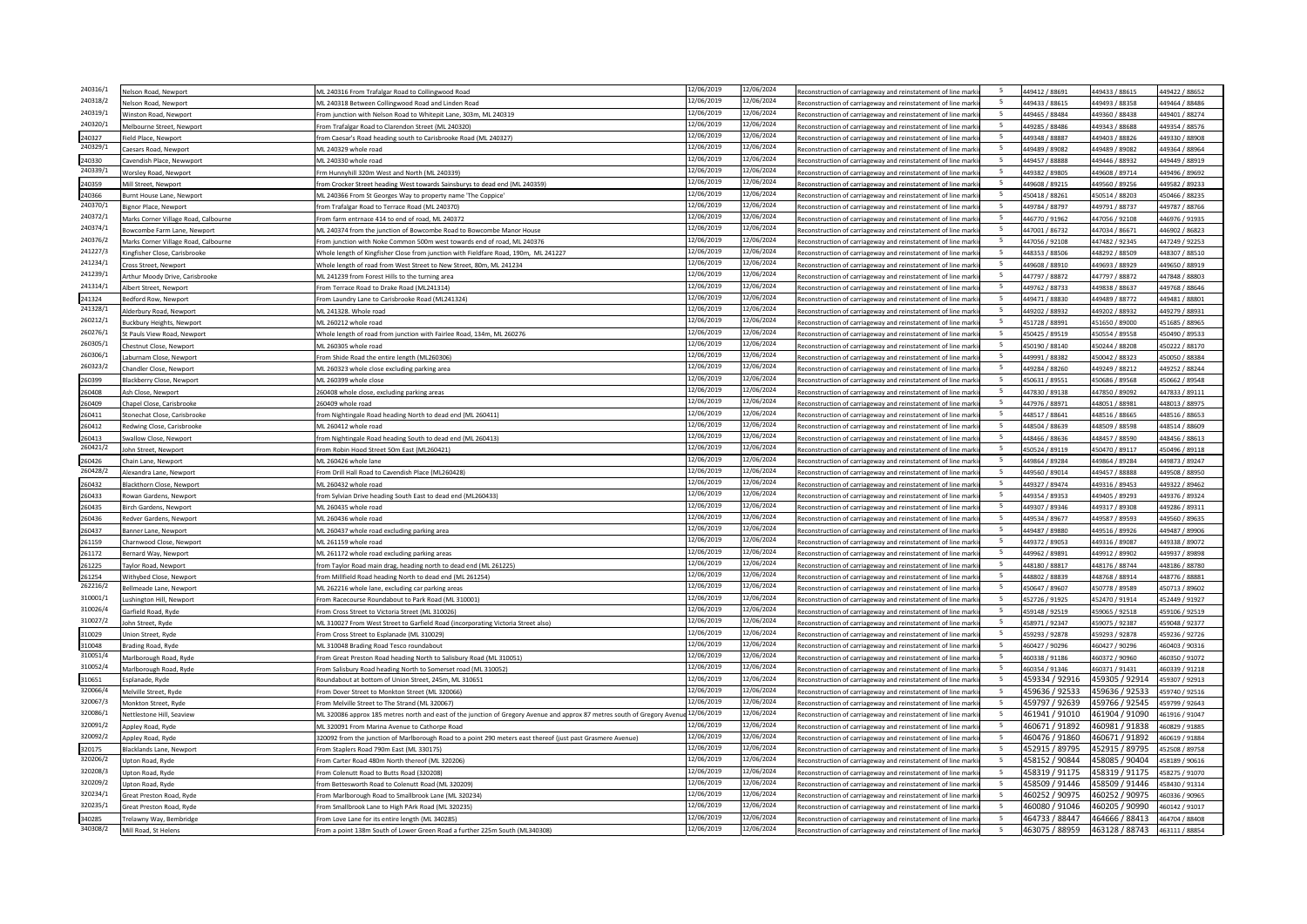| 240316/1           | lelson Road, Newport                 | ML 240316 From Trafalgar Road to Collingwood Road                                                                       | 12/06/2019               | 12/06/2024               | Reconstruction of carriageway and reinstatement of line mark   | -5                       | 449412 / 88691                   | 449433 / 88615                   | 449422 / 88652                   |
|--------------------|--------------------------------------|-------------------------------------------------------------------------------------------------------------------------|--------------------------|--------------------------|----------------------------------------------------------------|--------------------------|----------------------------------|----------------------------------|----------------------------------|
| 240318/2           | lelson Road, Newport                 | ML 240318 Between Collingwood Road and Linden Road                                                                      | 12/06/2019               | 12/06/2024               | Reconstruction of carriageway and reinstatement of line marki  | 5                        | 449433 / 88615                   | 449493 / 88358                   | 449464 / 88486                   |
| 240319/1           | Vinston Road, Newport                | From junction with Nelson Road to Whitepit Lane, 303m, ML 240319                                                        | 12/06/2019               | 12/06/2024               | Reconstruction of carriageway and reinstatement of line markin | 5                        | 449465 / 88484                   | 449360 / 88438                   | 449401 / 88274                   |
| 240320/1           | Melbourne Street, Newport            | From Trafalgar Road to Clarendon Street (ML 240320)                                                                     | 12/06/2019               | 12/06/2024               | Reconstruction of carriageway and reinstatement of line mark   | -5                       | 449285 / 88486                   | 149343 / 88688                   | 449354 / 88576                   |
| 240327             | ield Place, Newport                  | from Caesar's Road heading south to Carisbrooke Road (ML 240327)                                                        | 12/06/2019               | 12/06/2024               | Reconstruction of carriageway and reinstatement of line marki  | -5                       | 449348 / 88887                   | 449403 / 88826                   | 449330 / 88908                   |
| 240329/1           | aesars Road, Newport                 | ML 240329 whole road                                                                                                    | 12/06/2019               | 12/06/2024               | Reconstruction of carriageway and reinstatement of line marki  | -5                       | 449489 / 89082                   | 449489 / 89082                   | 449364 / 88964                   |
| 240330             | avendish Place, Newwport             | ML 240330 whole road                                                                                                    | 12/06/2019               | 12/06/2024               | Reconstruction of carriageway and reinstatement of line marki  | - 5                      | 449457 / 88888                   | 449446 / 88932                   | 449449 / 88919                   |
| 240339/1           | Vorslev Road, Newport                | Frm Hunnyhill 320m West and North (ML 240339)                                                                           | 12/06/2019               | 12/06/2024               | Reconstruction of carriageway and reinstatement of line mark   | -5                       | 449382 / 89805                   | 149608 / 89714                   | 449496 / 89692                   |
| 240359             |                                      | from Crocker Street heading West towards Sainsburys to dead end (ML 240359)                                             | 12/06/2019               | 12/06/2024               | Reconstruction of carriageway and reinstatement of line marki  | 5                        | 449608 / 89215                   | 449560 / 89256                   | 449582 / 89233                   |
|                    | Mill Street, Newport                 |                                                                                                                         | 12/06/2019               | 12/06/2024               |                                                                | - 5                      | 450418 / 88261                   | 450514 / 88203                   |                                  |
| 240366<br>240370/1 | <b>Burnt House Lane, Newport</b>     | ML 240366 From St Georges Way to property name 'The Coppice'                                                            | 12/06/2019               | 12/06/2024               | Reconstruction of carriageway and reinstatement of line marki  | 5                        |                                  |                                  | 450466 / 88235                   |
| 240372/1           | ignor Place, Newport                 | from Trafalgar Road to Terrace Road (ML 240370)                                                                         | 12/06/2019               | 12/06/2024               | Reconstruction of carriageway and reinstatement of line mark   | 5                        | 449784 / 88797                   | 449791 / 88737                   | 449787 / 88766                   |
|                    | Marks Corner Village Road, Calbourne | From farm entrnace 414 to end of road, ML 240372                                                                        |                          |                          | Reconstruction of carriageway and reinstatement of line marki  |                          | 446770 / 91962                   | 447056 / 92108                   | 446976 / 91935                   |
| 240374/1           | owcombe Farm Lane, Newport           | ML 240374 from the junction of Bowcombe Road to Bowcombe Manor House                                                    | 12/06/2019               | 12/06/2024               | Reconstruction of carriageway and reinstatement of line marki  | -5                       | 447001 / 86732                   | 447034 / 86671                   | 446902 / 86823                   |
| 240376/2           | Marks Corner Village Road, Calbourne | From junction with Noke Common 500m west towards end of road, ML 240376                                                 | 12/06/2019               | 12/06/2024               | Reconstruction of carriageway and reinstatement of line marki  | 5                        | 447056 / 92108                   | 447482 / 92345                   | 447249 / 92253                   |
| 241227/3           | ngfisher Close, Carisbrooke          | Whole length of Kingfisher Close from junction with Fieldfare Road, 190m, ML 241227                                     | 12/06/2019               | 12/06/2024               | Reconstruction of carriageway and reinstatement of line mark   | -5                       | 448353 / 88506                   | 48292 / 88509                    | 448307 / 88510                   |
| 241234/1           | ross Street, Newport                 | Whole length of road from West Street to New Street, 80m, ML 241234                                                     | 12/06/2019               | 12/06/2024               | Reconstruction of carriageway and reinstatement of line marki  | 5                        | 449608 / 88910                   | 449693 / 88929                   | 449650 / 88919                   |
| 241239/1           | rthur Moody Drive, Carisbrooke       | ML 241239 from Forest Hills to the turning area                                                                         | 12/06/2019               | 12/06/2024               | Reconstruction of carriageway and reinstatement of line marki  | 5                        | 447797 / 88872                   | 447797 / 88872                   | 447848 / 88803                   |
| 241314/1           | bert Street, Newport                 | From Terrace Road to Drake Road (ML241314)                                                                              | 12/06/2019               | 12/06/2024               | Reconstruction of carriageway and reinstatement of line mark   | 5                        | 449762 / 88733                   | 49838 / 88637                    | 449768 / 88646                   |
| 241324             | edford Row, Newport                  | From Laundry Lane to Carisbrooke Road (ML241324)                                                                        | 12/06/2019               | 12/06/2024               | Reconstruction of carriageway and reinstatement of line markin | 5                        | 449471 / 88830                   | 449489 / 88772                   | 449481 / 88801                   |
| 241328/1           | Iderbury Road, Newport               | ML 241328. Whole road                                                                                                   | 12/06/2019               | 12/06/2024               | Reconstruction of carriageway and reinstatement of line markin | -5                       | 449202 / 88932                   | 449202 / 88932                   | 449279 / 88931                   |
| 260212/1           |                                      | ML 260212 whole road                                                                                                    | 12/06/2019               | 12/06/2024               | Reconstruction of carriageway and reinstatement of line marki  | -5                       | 451728 / 88991                   | 451650 / 89000                   | 451685 / 88965                   |
| 260276/1           | uckbury Heights, Newport             |                                                                                                                         | 12/06/2019               | 12/06/2024               |                                                                | 5                        |                                  |                                  |                                  |
| 260305/1           | Pauls View Road, Newport             | Whole length of road from junction with Fairlee Road, 134m, ML 260276                                                   | 12/06/2019               | 12/06/2024               | Reconstruction of carriageway and reinstatement of line marki  | 5                        | 450425 / 89519                   | 150554 / 89558                   | 450490 / 89533                   |
|                    | hestnut Close, Newport               | ML 260305 whole road                                                                                                    |                          |                          | Reconstruction of carriageway and reinstatement of line marki  |                          | 450190 / 88140                   | 450244 / 88208                   | 450222 / 88170                   |
| 260306/1           | aburnam Close, Newport               | From Shide Road the entire length (ML260306)                                                                            | 12/06/2019               | 12/06/2024               | Reconstruction of carriageway and reinstatement of line mark   | - 5                      | 449991 / 88382                   | 150042 / 88323                   | 450050 / 88384                   |
| 260323/2           | handler Close, Newport               | ML 260323 whole close excluding parking area                                                                            | 12/06/2019               | 12/06/2024               | Reconstruction of carriageway and reinstatement of line marki  | -5                       | 449284 / 88260                   | 149249 / 88212                   | 449252 / 88244                   |
| 260399             | Blackberry Close, Newport            | ML 260399 whole close                                                                                                   | 12/06/2019               | 12/06/2024               | Reconstruction of carriageway and reinstatement of line marki  | - 5                      | 450631 / 89551                   | 450686 / 89568                   | 450662 / 89548                   |
| 260408             | Ash Close, Newport                   | 260408 whole close, excluding parking areas                                                                             | 12/06/2019               | 12/06/2024               | Reconstruction of carriageway and reinstatement of line marki  | - 5                      | 447830 / 89138                   | 447850 / 89092                   | 447833 / 89111                   |
| 160409             | Chapel Close, Carisbrooke            | 260409 whole road                                                                                                       | 12/06/2019               | 12/06/2024               | Reconstruction of carriageway and reinstatement of line mark   | 5                        | 447976 / 88971                   | 448051 / 88981                   | 448013 / 88975                   |
| 160411             | Stonechat Close, Carisbrooke         | from Nightingale Road heading North to dead end (ML 260411)                                                             | 12/06/2019               | 12/06/2024               | Reconstruction of carriageway and reinstatement of line marki  | 5                        | 448517 / 88641                   | 448516 / 88665                   | 448516 / 88653                   |
| 260412             | Redwing Close, Carisbrooke           | ML 260412 whole road                                                                                                    | 12/06/2019               | 12/06/2024               | Reconstruction of carriageway and reinstatement of line marki  | - 5                      | 448504 / 88639                   | 448509 / 88598                   | 448514 / 88609                   |
| 260413             | wallow Close, Newport                | from Nightingale Road heading South to dead end (ML 260413)                                                             | 12/06/2019               | 12/06/2024               | Reconstruction of carriageway and reinstatement of line mark   | 5                        | 448466 / 88636                   | 148457 / 88590                   | 448456 / 88613                   |
| 260421/2           | ohn Street, Newport                  | From Robin Hood Street 50m East (ML260421)                                                                              | 12/06/2019               | 12/06/2024               | Reconstruction of carriageway and reinstatement of line marki  | -5                       | 450524 / 89119                   | 150470 / 89117                   | 450496 / 89118                   |
| 260426             |                                      | ML 260426 whole lane                                                                                                    | 12/06/2019               | 12/06/2024               | Reconstruction of carriageway and reinstatement of line markin | -5                       | 449864 / 89284                   | 449864 / 89284                   | 449873 / 89247                   |
| 260428/2           | hain Lane, Newport                   |                                                                                                                         | 12/06/2019               | 12/06/2024               |                                                                | -5                       |                                  |                                  |                                  |
|                    | <b>Nexandra Lane, Newport</b>        | From Drill Hall Road to Cavendish Place (ML260428)                                                                      | 12/06/2019               | 12/06/2024               | Reconstruction of carriageway and reinstatement of line marki  |                          | 449560 / 89014                   | 449457 / 88888                   | 449508 / 88950                   |
| 260432             | <b>Blackthorn Close, Newpor</b>      | ML 260432 whole road                                                                                                    |                          |                          | Reconstruction of carriageway and reinstatement of line mark   | $\overline{5}$           | 449327 / 89474                   | 449316 / 89453                   | 449322 / 89462                   |
| 60433              | Rowan Gardens, Newport               | from Sylvian Drive heading South East to dead end (ML260433)                                                            | 12/06/2019               | 12/06/2024               | Reconstruction of carriageway and reinstatement of line marki  | 5                        | 449354 / 89353                   | 449405 / 89293                   | 449376 / 89324                   |
| 260435             | Birch Gardens, Newport               | ML 260435 whole road                                                                                                    | 12/06/2019               | 12/06/2024               | Reconstruction of carriageway and reinstatement of line marki  | - 5                      | 449307 / 89346                   | 449317 / 89308                   | 449286 / 89311                   |
| 60436              | edver Gardens, Newport               | ML 260436 whole road                                                                                                    | 12/06/2019               | 12/06/2024               | Reconstruction of carriageway and reinstatement of line mark   | -5                       | 449534 / 89677                   | 149587 / 89593                   | 449560 / 89635                   |
| 160437             | Banner Lane, Newport                 | ML 260437 whole road excluding parking area                                                                             | 12/06/2019               | 12/06/2024               | Reconstruction of carriageway and reinstatement of line marki  | 5                        | 449487 / 89880                   | 449516 / 89926                   | 449487 / 89906                   |
| 61159              | Charnwood Close, Newport             | ML 261159 whole road                                                                                                    | 12/06/2019               | 12/06/2024               | Reconstruction of carriageway and reinstatement of line marki  | -5                       | 449372 / 89053                   | 449316 / 89087                   | 449338 / 89072                   |
| 261172             | Bernard Way, Newport                 | ML 261172 whole road excluding parking areas                                                                            | 12/06/2019               | 12/06/2024               | Reconstruction of carriageway and reinstatement of line marki  | 5                        | 449962 / 89891                   | 449912 / 89902                   | 449937 / 89898                   |
| 61225              | avlor Road, Newport                  | from Taylor Road main drag, heading north to dead end (ML 261225)                                                       | 12/06/2019               | 12/06/2024               | Reconstruction of carriageway and reinstatement of line mark   | 5                        | 448180 / 88817                   | 148176 / 88744                   | 448186 / 88780                   |
| 261254             | Vithybed Close, Newport              | from Millfield Road heading North to dead end (ML 261254)                                                               | 12/06/2019               | 12/06/2024               | Reconstruction of carriageway and reinstatement of line marki  | 5                        | 448802 / 88839                   | 448768 / 88914                   | 448776 / 88881                   |
| 262216/2           | sellmeade Lane, Newport              | ML 262216 whole lane, excluding car parking areas                                                                       | 12/06/2019               | 12/06/2024               | Reconstruction of carriageway and reinstatement of line mark   | 5                        | 450647 / 89607                   | 450778 / 89589                   | 450713 / 89602                   |
| 310001/1           |                                      |                                                                                                                         | 12/06/2019               | 12/06/2024               |                                                                | $\overline{a}$           | 452726 / 91925                   | 452470 / 91914                   | 452449 / 91927                   |
| 310026/4           | ushington Hill, Newport              | From Racecourse Roundabout to Park Road (ML 310001)                                                                     | 12/06/2019               | 12/06/2024               | Reconstruction of carriageway and reinstatement of line mark   | 5                        |                                  |                                  |                                  |
| 310027/2           | arfield Road, Ryde                   | From Cross Street to Victoria Street (ML 310026)                                                                        | 12/06/2019               | 12/06/2024               | Reconstruction of carriageway and reinstatement of line marki  | - 5                      | 459148 / 92519                   | 459065 / 92518                   | 459106 / 92519                   |
|                    | ohn Street, Ryde                     | ML 310027 From West Street to Garfield Road (incorporating Victoria Street also)                                        |                          | 12/06/2024               | Reconstruction of carriageway and reinstatement of line markin |                          | 458971 / 92347                   | 459075 / 92387                   | 459048 / 92377                   |
| 310029             | nion Street, Ryde                    | From Cross Street to Esplanade (ML 310029)                                                                              | 12/06/2019               |                          | Reconstruction of carriageway and reinstatement of line mark   | $\overline{\phantom{a}}$ | 459293 / 92878                   | 459293 / 92878                   | 459236 / 92726                   |
| 310048             | <b>Srading Road, Ryde</b>            | ML 310048 Brading Road Tesco roundabout                                                                                 | 12/06/2019               | 12/06/2024               | Reconstruction of carriageway and reinstatement of line marki  | 5                        | 460427 / 90296                   | 460427 / 90296                   | 460403 / 90316                   |
| 310051/4           | Marlborough Road, Ryde               | From Great Preston Road heading North to Salisbury Road (ML 310051)                                                     | 12/06/2019               | 12/06/2024               | Reconstruction of carriageway and reinstatement of line marki  | 5                        | 460338 / 91186                   | 460372 / 90960                   | 460350 / 91072                   |
| 310052/4           | Marlborough Road, Ryde               | From Salisbury Road heading North to Somerset road (ML 310052)                                                          | 12/06/2019               | 12/06/2024               | Reconstruction of carriageway and reinstatement of line marki  | -5                       | 460354 / 91346                   | 160371 / 91431                   | 460339 / 91218                   |
| 310651             | splanade, Ryde                       | Roundabout at bottom of Union Street, 245m, ML 310651                                                                   | 12/06/2019               | 12/06/2024               | Reconstruction of carriageway and reinstatement of line marki  | $5\overline{5}$          | 459334 / 92916                   | 459305 / 92914                   | 459307 / 92913                   |
| 320066/4           | Melville Street, Ryde                | From Dover Street to Monkton Street (ML 320066)                                                                         | 12/06/2019               | 12/06/2024               | Reconstruction of carriageway and reinstatement of line marki  | -5                       | 459636 / 92533                   | 459636 / 92533                   | 459740 / 92516                   |
| 320067/3           | Monkton Street, Ryde                 | From Melville Street to The Strand (ML 320067)                                                                          | 12/06/2019               | 12/06/2024               | Reconstruction of carriageway and reinstatement of line marki  | - 5                      | 459797 / 92639                   | 459766 / 92545                   | 459799 / 92643                   |
| 320086/1           | lettlestone Hill, Seaview            | ML 320086 approx 185 metres north and east of the junction of Gregory Avenue and approx 87 metres south of Gregory Aven | 12/06/2019               | 12/06/2024               | Reconstruction of carriageway and reinstatement of line marki  | -5                       | 461941 / 91010                   | 461904 / 91090                   | 461916 / 91047                   |
| 320091/2           | Appley Road, Ryde                    | ML 320091 From Marina Avenue to Cathorpe Road                                                                           | 12/06/2019               | 12/06/2024               | Reconstruction of carriageway and reinstatement of line marki  | 5                        | 460671 / 91892                   | 460981 / 91838                   | 460829 / 91885                   |
| 320092/2           |                                      | 320092 from the junction of Marlborough Road to a point 290 meters east thereof (just past Grasmere Avenue)             | 12/06/2019               | 12/06/2024               | Reconstruction of carriageway and reinstatement of line marki  | - 5                      | 460476 / 91860                   | 460671 / 91892                   | 460619 / 91884                   |
|                    |                                      |                                                                                                                         |                          |                          |                                                                | 5                        | 452915 / 89795                   | 452915 / 89795                   | 452508 / 89758                   |
|                    | ppley Road, Ryde                     |                                                                                                                         |                          |                          |                                                                |                          |                                  |                                  |                                  |
| 320175             | <b>Hacklands Lane, Newport</b>       | From Staplers Road 790m East (ML 330175)                                                                                | 12/06/2019               | 12/06/2024               | Reconstruction of carriageway and reinstatement of line mark   |                          |                                  |                                  |                                  |
| 320206/2           | pton Road, Ryde                      | From Carter Road 480m North thereof (ML 320206)                                                                         | 12/06/2019               | 12/06/2024               | Reconstruction of carriageway and reinstatement of line marki  | 5                        | 458152 / 90844                   | 158085 / 90404                   | 458189 / 90616                   |
| 320208/3           | Jpton Road, Ryde                     | From Colenutt Road to Butts Road (320208)                                                                               | 12/06/2019               | 12/06/2024               | Reconstruction of carriageway and reinstatement of line marki  | -5                       | 458319 / 91175                   | 458319 / 91175                   | 458275 / 91070                   |
| 320209/2           | pton Road, Ryde                      | from Bettesworth Road to Colenutt Road (ML 320209)                                                                      | 12/06/2019               | 12/06/2024               | Reconstruction of carriageway and reinstatement of line marki  | 5                        | 458509 / 91446                   | 458509 / 91446                   | 458430 / 91314                   |
| 320234/1           | ireat Preston Road, Ryde             | From Marlborough Road to Smallbrook Lane (ML 320234)                                                                    | 12/06/2019               | 12/06/2024               | Reconstruction of carriageway and reinstatement of line mark   |                          | 460252 / 90975                   | 460252 / 90975                   | 460336 / 90965                   |
| 320235/1           | reat Preston Road, Ryde              | From Smallbrook Lane to High PArk Road (ML 320235)                                                                      | 12/06/2019               | 12/06/2024               | Reconstruction of carriageway and reinstatement of line marki  | 5                        | 460080 / 91046                   | 460205 / 90990                   | 460142 / 91017                   |
| 340285<br>340308/2 | relawny Way, Bembridge               | From Love Lane for its entire length (ML 340285)                                                                        | 12/06/2019<br>12/06/2019 | 12/06/2024<br>12/06/2024 | Reconstruction of carriageway and reinstatement of line marki  | - 5<br>5                 | 464733 / 88447<br>463075 / 88959 | 464666 / 88413<br>463128 / 88743 | 464704 / 88408<br>463111 / 88854 |